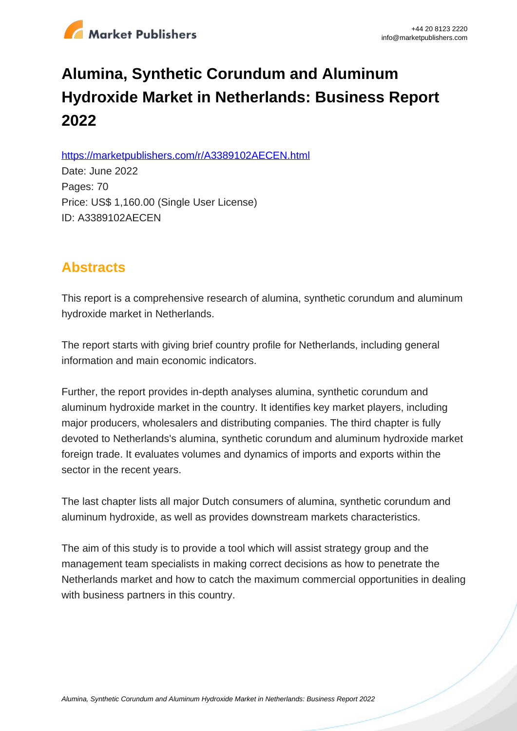

# **Alumina, Synthetic Corundum and Aluminum Hydroxide Market in Netherlands: Business Report 2022**

https://marketpublishers.com/r/A3389102AECEN.html

Date: June 2022 Pages: 70 Price: US\$ 1,160.00 (Single User License) ID: A3389102AECEN

# **Abstracts**

This report is a comprehensive research of alumina, synthetic corundum and aluminum hydroxide market in Netherlands.

The report starts with giving brief country profile for Netherlands, including general information and main economic indicators.

Further, the report provides in-depth analyses alumina, synthetic corundum and aluminum hydroxide market in the country. It identifies key market players, including major producers, wholesalers and distributing companies. The third chapter is fully devoted to Netherlands's alumina, synthetic corundum and aluminum hydroxide market foreign trade. It evaluates volumes and dynamics of imports and exports within the sector in the recent years.

The last chapter lists all major Dutch consumers of alumina, synthetic corundum and aluminum hydroxide, as well as provides downstream markets characteristics.

The aim of this study is to provide a tool which will assist strategy group and the management team specialists in making correct decisions as how to penetrate the Netherlands market and how to catch the maximum commercial opportunities in dealing with business partners in this country.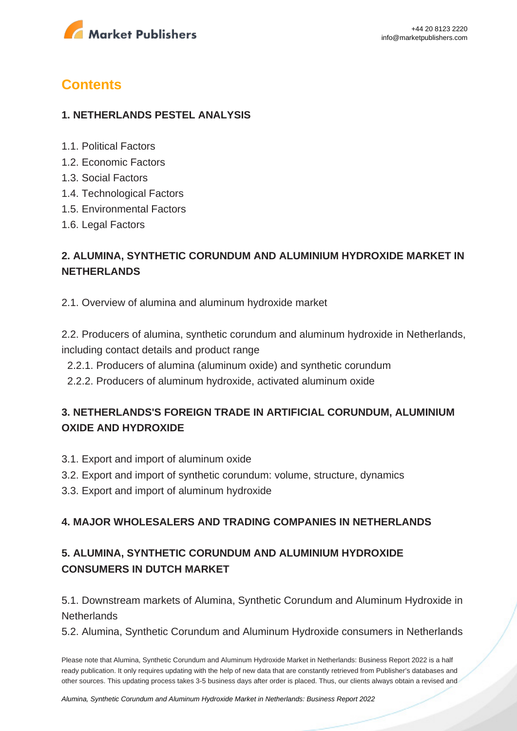

# **Contents**

#### **1. NETHERLANDS PESTEL ANALYSIS**

- 1.1. Political Factors
- 1.2. Economic Factors
- 1.3. Social Factors
- 1.4. Technological Factors
- 1.5. Environmental Factors
- 1.6. Legal Factors

## **2. ALUMINA, SYNTHETIC CORUNDUM AND ALUMINIUM HYDROXIDE MARKET IN NETHERLANDS**

2.1. Overview of alumina and aluminum hydroxide market

2.2. Producers of alumina, synthetic corundum and aluminum hydroxide in Netherlands, including contact details and product range

- 2.2.1. Producers of alumina (aluminum oxide) and synthetic corundum
- 2.2.2. Producers of aluminum hydroxide, activated aluminum oxide

### **3. NETHERLANDS'S FOREIGN TRADE IN ARTIFICIAL CORUNDUM, ALUMINIUM OXIDE AND HYDROXIDE**

- 3.1. Export and import of aluminum oxide
- 3.2. Export and import of synthetic corundum: volume, structure, dynamics
- 3.3. Export and import of aluminum hydroxide

#### **4. MAJOR WHOLESALERS AND TRADING COMPANIES IN NETHERLANDS**

## **5. ALUMINA, SYNTHETIC CORUNDUM AND ALUMINIUM HYDROXIDE CONSUMERS IN DUTCH MARKET**

5.1. Downstream markets of Alumina, Synthetic Corundum and Aluminum Hydroxide in **Netherlands** 

5.2. Alumina, Synthetic Corundum and Aluminum Hydroxide consumers in Netherlands

Please note that Alumina, Synthetic Corundum and Aluminum Hydroxide Market in Netherlands: Business Report 2022 is a half ready publication. It only requires updating with the help of new data that are constantly retrieved from Publisher's databases and other sources. This updating process takes 3-5 business days after order is placed. Thus, our clients always obtain a revised and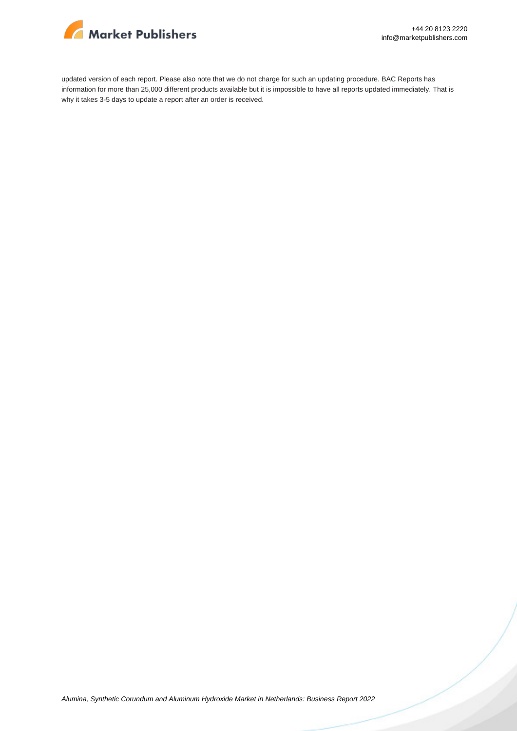

updated version of each report. Please also note that we do not charge for such an updating procedure. BAC Reports has information for more than 25,000 different products available but it is impossible to have all reports updated immediately. That is why it takes 3-5 days to update a report after an order is received.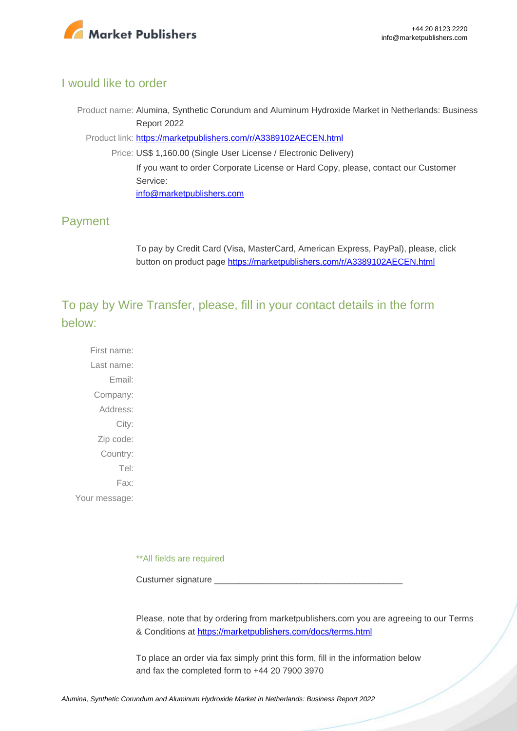

#### I would like to order

Product name: Alumina, Synthetic Corundum and Aluminum Hydroxide Market in Netherlands: Business Report 2022

Product link: [https://marketpublishers.com/r/A3389102AECEN.html](https://marketpublishers.com/report/industry/chemicals_petrochemicals/alumina_synthetic_corundum_n_aluminum_hydroxide_market_in_netherlands_business_report.html)

Price: US\$ 1,160.00 (Single User License / Electronic Delivery) If you want to order Corporate License or Hard Copy, please, contact our Customer Service: [info@marketpublishers.com](mailto:info@marketpublishers.com)

### Payment

To pay by Credit Card (Visa, MasterCard, American Express, PayPal), please, click button on product page [https://marketpublishers.com/r/A3389102AECEN.html](https://marketpublishers.com/report/industry/chemicals_petrochemicals/alumina_synthetic_corundum_n_aluminum_hydroxide_market_in_netherlands_business_report.html)

To pay by Wire Transfer, please, fill in your contact details in the form below:

First name: Last name: Email: Company: Address: City: Zip code: Country: Tel: Fax: Your message:

\*\*All fields are required

Custumer signature

Please, note that by ordering from marketpublishers.com you are agreeing to our Terms & Conditions at<https://marketpublishers.com/docs/terms.html>

To place an order via fax simply print this form, fill in the information below and fax the completed form to +44 20 7900 3970